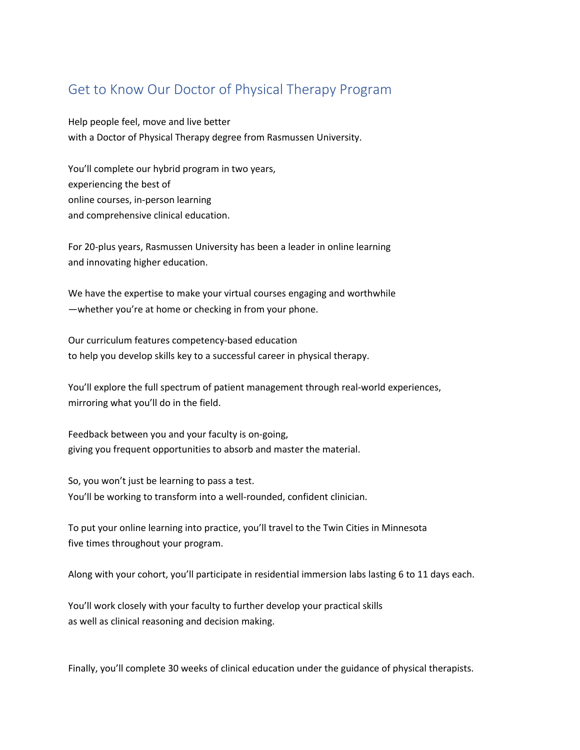## Get to Know Our Doctor of Physical Therapy Program

Help people feel, move and live better with a Doctor of Physical Therapy degree from Rasmussen University.

You'll complete our hybrid program in two years, experiencing the best of online courses, in-person learning and comprehensive clinical education.

For 20-plus years, Rasmussen University has been a leader in online learning and innovating higher education.

We have the expertise to make your virtual courses engaging and worthwhile —whether you're at home or checking in from your phone.

Our curriculum features competency-based education to help you develop skills key to a successful career in physical therapy.

You'll explore the full spectrum of patient management through real-world experiences, mirroring what you'll do in the field.

Feedback between you and your faculty is on-going, giving you frequent opportunities to absorb and master the material.

So, you won't just be learning to pass a test. You'll be working to transform into a well-rounded, confident clinician.

To put your online learning into practice, you'll travel to the Twin Cities in Minnesota five times throughout your program.

Along with your cohort, you'll participate in residential immersion labs lasting 6 to 11 days each.

You'll work closely with your faculty to further develop your practical skills as well as clinical reasoning and decision making.

Finally, you'll complete 30 weeks of clinical education under the guidance of physical therapists.